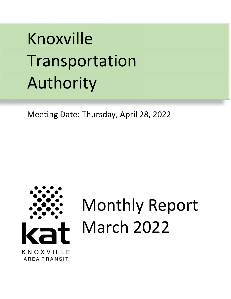# Knoxville Transportation Authority

Meeting Date: Thursday, April 28, 2022



## Monthly Report March 2022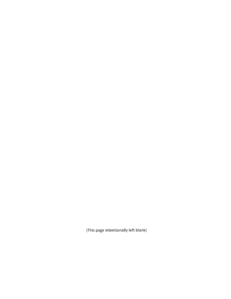(This page intentionally left blank)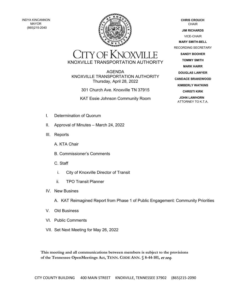INDYA KINCANNON MAYOR (865)215-2040







AGENDA KNOXVILLE TRANSPORTATION AUTHORITY Thursday, April 28, 2022

301 Church Ave. Knoxville TN 37915

KAT Essie Johnson Community Room

- I. Determination of Quorum
- II. Approval of Minutes March 24, 2022
- III. Reports
	- A. KTA Chair
	- B. Commissioner's Comments
	- C. Staff
		- i. City of Knoxville Director of Transit
	- ii. TPO Transit Planner
- IV. New Busines

A. KAT Reimagined Report from Phase 1 of Public Engagement: Community Priorities

- V. Old Business
- VI. Public Comments
- VII. Set Next Meeting for May 26, 2022

**This meeting and all communications between members is subject to the provisions of the Tennessee OpenMeetings Act, TENN. CODE ANN. § 8-44-101,** et seq**.**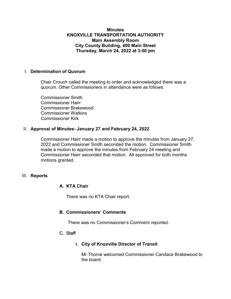#### **Minutes KNOXVILLE TRANSPORTATION AUTHORITY Main Assembly Room City County Building, 400 Main Street Thursday, March 24, 2022 at 3:00 pm**

#### I. **Determination of Quorum**

Chair Crouch called the meeting to order and acknowledged there was a quorum. Other Commissioners in attendance were as follows:

Commissioner Smith Commissioner Hairr Commissioner Brakewood Commissioner Watkins Commissioner Kirk

#### II. **Approval of Minutes- January 27 and February 24, 2022**

Commissioner Hairr made a motion to approve the minutes from January 27, 2022 and Commissioner Smith seconded the motion. Commissioner Smith made a motion to approve the minutes from February 24 meeting and Commissioner Hairr seconded that motion. All approved for both months motions granted.

#### III. **Reports**

### **A. KTA Chair**

There was no KTA Chair report.

#### **B. Commissioners' Comments**

There was no Commissioner's Comment reported.

#### C. Staff

#### **i. City of Knoxville Director of Transit**

Mr.Thorne welcomed Commissioner Candace Brakewood to the board.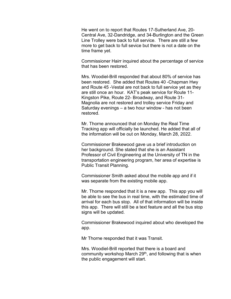He went on to report that Routes 17-Sutherland Ave, 20- Central Ave, 32-Dandridge, and 34-Burlington and the Green Line Trolley were back to full service. There are still a few more to get back to full sevice but there is not a date on the time frame yet.

Commissioner Hairr inquired about the percentage of service that has been restored.

Mrs. Woodiel-Brill responded that about 80% of service has been restored. She added that Routes 40 -Chapman Hwy and Route 45 -Vestal are not back to full service yet as they are still once an hour. KAT's peak service for Route 11- Kingston Pike, Route 22- Broadway, and Route 31- Magnolia are not restored and trolley service Friday and Saturday evenings – a two hour window - has not been restored.

Mr. Thorne announced that on Monday the Real Time Tracking app will officially be launched. He added that all of the information will be out on Monday, March 28, 2022.

Commissioner Brakewood gave us a brief introduction on her background. She stated that she is an Assistant Professor of Civil Engineering at the University of TN in the transportation engineering program, her area of expertise is Public Transit Planning.

Commissioner Smith asked about the mobile app and if it was separate from the existing mobile app.

Mr. Thorne responded that it is a new app. This app you will be able to see the bus in real time, with the estimated time of arrival for each bus stop. All of that information will be inside this app. There will still be a text feature and all the bus stop signs will be updated.

Commissioner Brakewood inquired about who developed the app.

Mr Thorne responded that it was Transit.

Mrs. Woodiel-Brill reported that there is a board and community workshop March 29<sup>th</sup>, and following that is when the public engagement will start.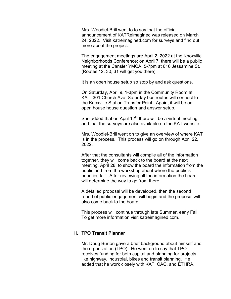Mrs. Woodiel-Brill went to to say that the official announcement of KATReimagined was released on March 24, 2022. Visit katreimagined.com for surveys and find out more about the project.

The engagement meetings are April 2, 2022 at the Knoxville Neighborhoods Conference; on April 7, there will be a public meeting at the Cansler YMCA, 5-7pm at 616 Jessamine St. (Routes 12, 30, 31 will get you there).

It is an open house setup so stop by and ask questions.

On Saturday, April 9, 1-3pm in the Community Room at KAT, 301 Church Ave. Saturday bus routes will connect to the Knoxville Station Transfer Point. Again, it will be an open house house question and answer setup.

She added that on April  $12<sup>th</sup>$  there will be a virtual meeting and that the surveys are also available on the KAT website.

Mrs. Woodiel-Brill went on to give an overview of where KAT is in the process. This process will go on through April 22, 2022.

After that the consultants will compile all of the information together, they will come back to the board at the next meeting, April 28, to show the board the information from the public and from the workshop about where the public's priorities fall. After reviewing all the information the board will determine the way to go from there.

A detailed proposal will be developed, then the second round of public engagement will begin and the proposal will also come back to the board.

This process will continue through late Summer, early Fall. To get more information visit katreimagined.com.

### **ii. TPO Transit Planner**

Mr. Doug Burton gave a brief background about himself and the organization (TPO). He went on to say that TPO receives funding for both capital and planning for projects like highway, industrial, bikes and transit planning. He added that he work closely with KAT, CAC, and ETHRA.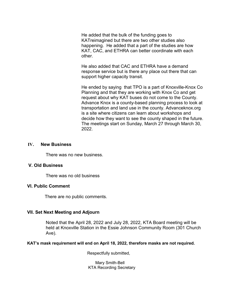He added that the bulk of the funding goes to KATreimagined but there are two other studies also happening. He added that a part of the studies are how KAT, CAC, and ETHRA can better coordinate with each other.

He also added that CAC and ETHRA have a demand response service but is there any place out there that can support higher capacity transit.

He ended by saying that TPO is a part of Knoxville-Knox Co Planning and that they are working with Knox Co and get request about why KAT buses do not come to the County. Advance Knox is a county-based planning process to look at transportation and land use in the county. Advanceknox.org is a site where citizens can learn about workshops and decide how they want to see the county shaped in the future. The meetings start on Sunday, March 27 through March 30, 2022.

#### **IV. New Business**

There was no new business.

#### **V. Old Business**

There was no old business

#### **VI. Public Comment**

There are no public comments.

#### **VII. Set Next Meeting and Adjourn**

Noted that the April 28, 2022 and July 28, 2022, KTA Board meeting will be held at Knoxville Station in the Essie Johnson Community Room (301 Church Ave).

**KAT's mask requirement will end on April 18, 2022, therefore masks are not required.** 

Respectfully submitted,

 Mary Smith-Bell KTA Recording Secretary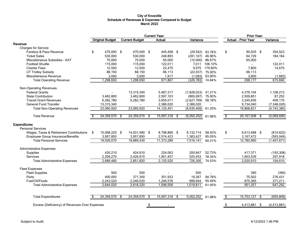#### City of Knoxville Schedule of Revenues & Expenses Compared to Budget March 2022

|                                               |     | <b>Current Year:</b>   |      |                       |     |               |     |             | <b>Prior Year:</b> |    |                            |  |               |
|-----------------------------------------------|-----|------------------------|------|-----------------------|-----|---------------|-----|-------------|--------------------|----|----------------------------|--|---------------|
|                                               |     | <b>Original Budget</b> |      | <b>Current Budget</b> |     | <b>Actual</b> |     | Variance    |                    |    | <b>Actual - Prior Year</b> |  | Variance      |
| Revenue                                       |     |                        |      |                       |     |               |     |             |                    |    |                            |  |               |
| <b>Charges for Service</b>                    |     |                        |      |                       |     |               |     |             |                    |    |                            |  |               |
| Farebox & Pass Revenue                        | \$  | 475,000 \$             |      | 475,000 \$            |     | 445,458 \$    |     | (29, 542)   | 93.78%             | \$ | 90,935 \$                  |  | 354,523       |
| <b>Ticket Sales</b>                           |     | 530,000                |      | 530,000               |     | 248,893       |     | (281, 107)  | 46.96%             |    | 64,729                     |  | 184,164       |
| Miscellaneous Subsidies - KAT                 |     | 75,000                 |      | 75.000                |     | 65,000        |     | (10,000)    | 86.67%             |    | 65,000                     |  |               |
| <b>Football Shuttle</b>                       |     | 115,000                |      | 115,000               |     | 122,011       |     | 7.011       | 106.10%            |    |                            |  | 122,011       |
| <b>Charter Fees</b>                           |     | 12,500                 |      | 12,500                |     | 22,475        |     | 9,975       | 179.80%            |    | 7,800                      |  | 14,675        |
| <b>UT Trolley Subsidy</b>                     |     | 88,150                 |      | 88,150                |     | 66,113        |     | (22,037)    | 75.00%             |    | 66,113                     |  |               |
| Miscellaneous Revenue                         |     | 3,000                  |      | 3,000                 |     | 1,917         |     | (1,083)     | 63.90%             |    | 3,600                      |  | (1,683)       |
| <b>Total Ooerating Revenue</b>                |     | 1,298,650              |      | 1,298,650             |     | 971,867       |     | (326, 783)  | 74.84%             |    | 298,177                    |  | 673,690       |
| Non-Operating Revenues                        |     |                        |      |                       |     |               |     |             |                    |    |                            |  |               |
| <b>Federal Grants</b>                         |     |                        |      | 13,315,340            |     | 5,487,317     |     | (7,828,023) | 41.21%             |    | 4,379,104                  |  | 1,108,213     |
| <b>State Contribution</b>                     |     | 3,462,800              |      | 3,462,800             |     | 2,597,103     |     | (865, 697)  | 75.00%             |    | 2,509,851                  |  | 87,252        |
| <b>Transit Grant Revenues</b>                 |     | 6,282,780              |      | 6,282,780             |     | 3,655,011     |     | (2,627,769) | 58.18%             |    | 3,245,836                  |  | 409,175       |
| <b>General Fund Transfer</b>                  |     | 13,315,340             |      |                       |     | 2,386,020     |     | 2,386,020   |                    |    | 9,734,040                  |  | (7,348,020)   |
| <b>Total Non-Operating Revenues</b>           |     | 23,060,920             |      | 23,060,920            |     | 14, 125, 451  |     | (8,935,469) | 61.25%             |    | 19,868,831                 |  | (5,743,380)   |
| <b>Total Revenue</b>                          |     | 24,359,570             | န    | 24,359,570            | -\$ | 15,097,318    | \$  | (9,262,252) | 61.98%             |    | 20,167,008                 |  | (5,069,690)   |
| <b>Expenditures</b>                           |     |                        |      |                       |     |               |     |             |                    |    |                            |  |               |
| <b>Personal Services</b>                      |     |                        |      |                       |     |               |     |             |                    |    |                            |  |               |
| Wages, Taxes & Retirement Contributions       | -\$ | 15,068,220 \$          |      | 14,931,580 \$         |     | 8,798,866 \$  |     | 6,132,714   | 58.93%             | \$ | 9,613,488 \$               |  | (814, 622)    |
| <b>Employee Group Insurance/Benefits</b>      |     | 3,957,850              |      | 3,957,850             |     | 2,574,423     |     | 1,383,427   | 65.05%             |    | 3,167,472                  |  | (593, 049)    |
| <b>Total Personal Services</b>                |     | 19,026,070             |      | 18,889,430            |     | 11,373,289    |     | 7,516,141   | 60.21%             |    | 12,780,960                 |  | (1,407,671)   |
| <b>Administrative Expenses</b>                |     |                        |      |                       |     |               |     |             |                    |    |                            |  |               |
| Supplies                                      |     | 430,210                |      | 424,910               |     | 224,063       |     | 200,847     | 52.73%             |    | 417,371                    |  | (193, 308)    |
| Services                                      |     | 2,259,270              |      | 2,426,910             |     | 1,901,457     |     | 525,453     | 78.35%             |    | 1,603,539                  |  | 297,918       |
| <b>Total Administrative Expenses</b>          |     | 2,689,480              |      | 2,851,820             |     | 2,125,520     |     | 726,300     | 74.53%             |    | 2,020,910                  |  | 104,610       |
| <b>Fleet Expenses</b>                         |     |                        |      |                       |     |               |     |             |                    |    |                            |  |               |
| <b>Fleet Supplies</b>                         |     | 500                    |      | 500                   |     |               |     | 500         |                    |    | 390                        |  | (390)         |
| Parts                                         |     | 400,000                |      | 371.300               |     | 351.933       |     | 19,367      | 94.78%             |    | 75,502                     |  | 276,431       |
| Fuel/Oil/Fluids                               |     | 2,243,520              |      | 2,246,520             |     | 1,246,576     |     | 999,944     | 55.49%             |    | 875,365                    |  | 371,211       |
| <b>Total Administrative Expenses</b>          |     | 2,644,020              |      | 2,618,320             |     | 1,598,509     |     | 1,019,811   | 61.05%             |    | 951,257                    |  | 647,252       |
| <b>Total Expenditures</b>                     |     | 24,359,570             | - \$ | 24,359,570            | \$  | 15,097,318    | -SG | 9,262,252   | 61.98%             | \$ | $15,753,127$ \$            |  | (655, 809)    |
|                                               |     |                        |      |                       |     |               |     |             |                    |    |                            |  |               |
| Excess (Deficiency) of Revenues Over Expenses |     |                        |      |                       | \$  |               |     |             |                    | \$ | 4,413,881 \$               |  | (4, 413, 881) |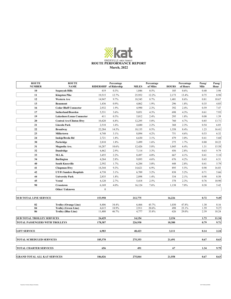### **Xkat ROUTE PERFORMANCE REPORT March, 2022**

| <b>ROUTE</b>                        | <b>ROUTE</b>                   |                  | Percentage   |              | Percentage |              | Percentage | Passg/ | Passg/ |  |
|-------------------------------------|--------------------------------|------------------|--------------|--------------|------------|--------------|------------|--------|--------|--|
| <b>NUMBER</b>                       | <b>NAME</b>                    | <b>RIDERSHIP</b> | of Ridership | <b>MILES</b> | of Miles   | <b>HOURS</b> | of Hours   | Mile   | Hour   |  |
| 10                                  | <b>Sequovah Hills</b>          | 419              | 0.3%         | 1,046        | 0.5%       | 105          | 0.6%       | 0.40   | 3.98   |  |
| 11                                  | <b>Kingston Pike</b>           | 19,515           | 12.7%        | 25,952       | 12.2%      | 2,173        | 13.4%      | 0.75   | 8.98   |  |
| 12                                  | <b>Western Ave</b>             | 14,947           | 9.7%         | 18,545       | 8.7%       | 1,401        | 8.6%       | 0.81   | 10.67  |  |
| 13                                  | <b>Beaumont</b>                | 1,436            | 0.9%         | 4,062        | 1.9%       | 296          | 1.8%       | 0.35   | 4.85   |  |
| 16                                  | <b>Cedar Bluff Connector</b>   | 2,932            | 1.9%         | 4,990        | 2.3%       | 392          | 2.4%       | 0.59   | 7.47   |  |
| 17                                  | Sutherland/Bearden             | 5,531            | 3.6%         | 9,051        | 4.3%       | 698          | 4.3%       | 0.61   | 7.93   |  |
| 19                                  | Lakeshore/Lonas Connector      | 411              | 0.3%         | 5,012        | 2.4%       | 295          | 1.8%       | 0.08   | 1.39   |  |
| 20                                  | <b>Central Ave/Clinton Hwy</b> | 10,420           | 6.8%         | 12,295       | 5.8%       | 760          | 4.7%       | 0.85   | 13.71  |  |
| 21                                  | <b>Lincoln Park</b>            | 2,518            | 1.6%         | 4,680        | 2.2%       | 368          | 2.3%       | 0.54   | 6.85   |  |
| 22                                  | <b>Broadway</b>                | 22,284           | 14.5%        | 18,135       | 8.5%       | 1,358        | 8.4%       | 1.23   | 16.41  |  |
| 23                                  | Millertown                     | 4,748            | 3.1%         | 8,894        | 4.2%       | 751          | 4.6%       | 0.53   | 6.32   |  |
| 24                                  | Inskip/Breda Rd                | 2,721            | 1.8%         | 6,630        | 3.1%       | 479          | 3.0%       | 0.41   | 5.68   |  |
| 30                                  | Parkridge                      | 2,810            | 1.8%         | 3,499        | 1.6%       | 275          | 1.7%       | 0.80   | 10.22  |  |
| 31                                  | Magnolia Ave.                  | 16,287           | 10.6%        | 12,426       | 5.8%       | 1,045        | 6.4%       | 1.31   | 15.58  |  |
| 32                                  | Dandridge                      | 4,462            | 2.9%         | 7,114        | 3.3%       | 456          | 2.8%       | 0.63   | 9.79   |  |
| 33                                  | M.L.K.                         | 3,455            | 2.2%         | 8,497        | 4.0%       | 667          | 4.1%       | 0.41   | 5.18   |  |
| 34                                  | <b>Burlington</b>              | 4,264            | 2.8%         | 9,893        | 4.6%       | 676          | 4.2%       | 0.43   | 6.31   |  |
| 40                                  | <b>South Knoxville</b>         | 2,592            | 1.7%         | 6,284        | 3.0%       | 448          | 2.8%       | 0.41   | 5.79   |  |
| 41                                  | <b>Chapman Hwy</b>             | 14,344           | 9.3%         | 14,621       | 6.9%       | 895          | 5.5%       | 0.98   | 16.03  |  |
| 42                                  | <b>UT/Ft Sanders Hospitals</b> | 4,738            | 3.1%         | 6,709        | 3.2%       | 838          | 5.2%       | 0.71   | 5.66   |  |
| 44                                  | <b>University Park</b>         | 2,835            | 1.8%         | 2,898        | 1.4%       | 334          | 2.1%       | 0.98   | 8.50   |  |
| 45                                  | <b>Vestal</b>                  | 4,120            | 2.7%         | 5,418        | 2.5%       | 378          | 2.3%       | 0.76   | 10.90  |  |
| 90                                  | Crosstown                      | 6,169            | 4.0%         | 16,124       | 7.6%       | 1,138        | 7.0%       | 0.38   | 5.42   |  |
|                                     | Other/ Unknown                 | $\mathbf{0}$     |              |              |            |              |            |        |        |  |
| <b>SUB TOTAL LINE SERVICE</b>       |                                | 153,958          |              | 212,775      |            | 16,226       |            | 0.72   | 9.49   |  |
| 82                                  | <b>Trolley (Orange Line)</b>   | 8,406            | 34.4%        | 6,466        | 45.7%      | 1,030        | 47.8%      | 1.30   | 8.16   |  |
| 84                                  | <b>Trolley (Green Line)</b>    | 4,615            | 18.9%        | 2,911        | 20.6%      | 498          | 23.1%      | 1.59   | 9.27   |  |
| 86                                  | <b>Trolley (Blue Line)</b>     | 11,408           | 46.7%        | 4,777        | 33.8%      | 626          | 29.0%      | 2.39   | 18.24  |  |
| <b>SUB TOTAL TROLLEY SERVICES</b>   |                                | 24,429           |              | 14,154       |            | 2,154        |            | 1.73   | 11.34  |  |
| TOTAL PASSENGERS WITH TROLLEYS      |                                | 178,387          |              | 226,930      |            | 18,380       |            | 0.79   | 9.71   |  |
| <b>LIFT SERVICE</b>                 |                                | 6.983            |              | 48,423       |            | 3,111        |            | 0.14   | 2.24   |  |
| <b>TOTAL SCHEDULED SERVICES</b>     |                                | 185,370          |              | 275,353      |            | 21,491       |            | 0.67   | 8.63   |  |
| <b>TOTAL CHARTER SERVICES</b>       |                                | 656              |              | 491          |            | 67           |            | 1.34   | 9.79   |  |
| <b>GRAND TOTAL ALL KAT SERVICES</b> |                                | 186,026          |              | 275,844      |            | 21,558       |            | 0.67   | 8.63   |  |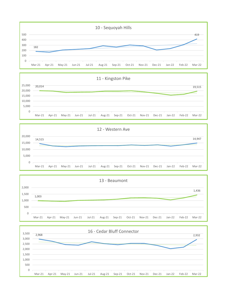







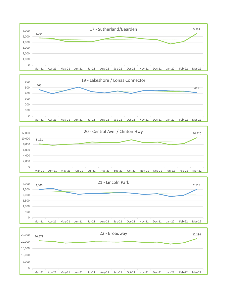







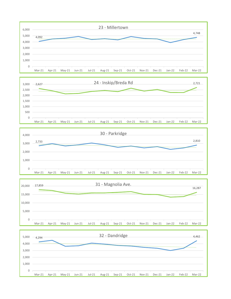







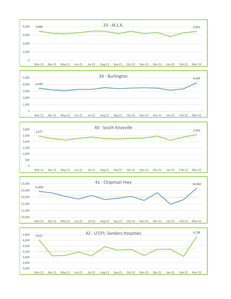







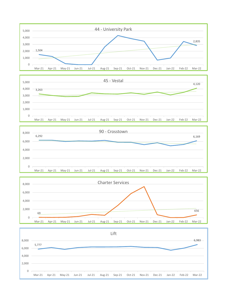







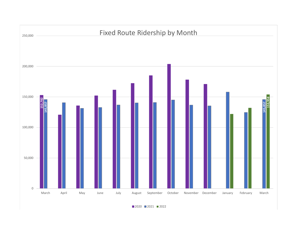

2020 2021 2022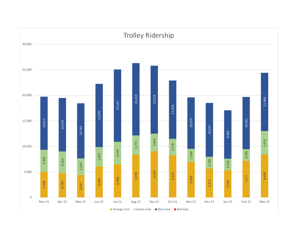